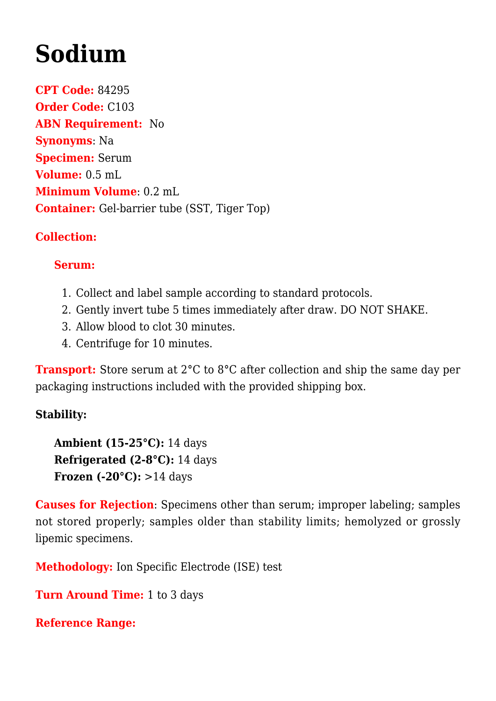# **[Sodium](https://www.clevelandheartlab.com/tests/sodium/)**

**CPT Code:** 84295 **Order Code:** C103 **ABN Requirement:** No **Synonyms**: Na **Specimen:** Serum **Volume:** 0.5 mL **Minimum Volume**: 0.2 mL **Container:** Gel-barrier tube (SST, Tiger Top)

### **Collection:**

#### **Serum:**

- 1. Collect and label sample according to standard protocols.
- 2. Gently invert tube 5 times immediately after draw. DO NOT SHAKE.
- 3. Allow blood to clot 30 minutes.
- 4. Centrifuge for 10 minutes.

**Transport:** Store serum at 2°C to 8°C after collection and ship the same day per packaging instructions included with the provided shipping box.

#### **Stability:**

**Ambient (15-25°C):** 14 days **Refrigerated (2-8°C):** 14 days **Frozen (-20°C):** >14 days

**Causes for Rejection**: Specimens other than serum; improper labeling; samples not stored properly; samples older than stability limits; hemolyzed or grossly lipemic specimens.

**Methodology:** Ion Specific Electrode (ISE) test

**Turn Around Time:** 1 to 3 days

**Reference Range:**